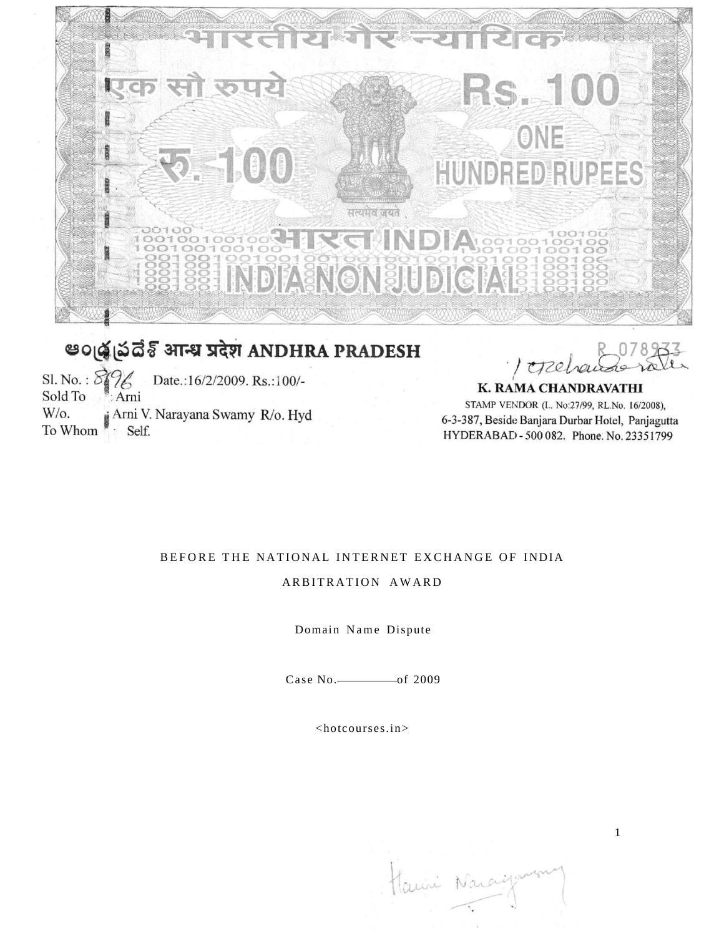

# **30 @ @ @ SOLE SHIPS ANDHRA PRADESH**

Sl. No. :  $\delta$ Date.:16/2/2009. Rs.:100/-Sold To Arni W/o. Arni V. Narayana Swamy R/o. Hyd To Whom · Self.

creele

K. RAMA CHANDRAVATHI STAMP VENDOR (L. No:27/99, RL.No. 16/2008), 6-3-387, Beside Banjara Durbar Hotel, Panjagutta HYDERABAD - 500 082. Phone. No. 23351799

## BEFORE THE NATIONAL INTERNET EXCHANGE OF INDIA

## ARBITRATION AWARD

Domain Name Dispute

Case  $No.$  of 2009

<hotcourses.in>

Hanii Nara

1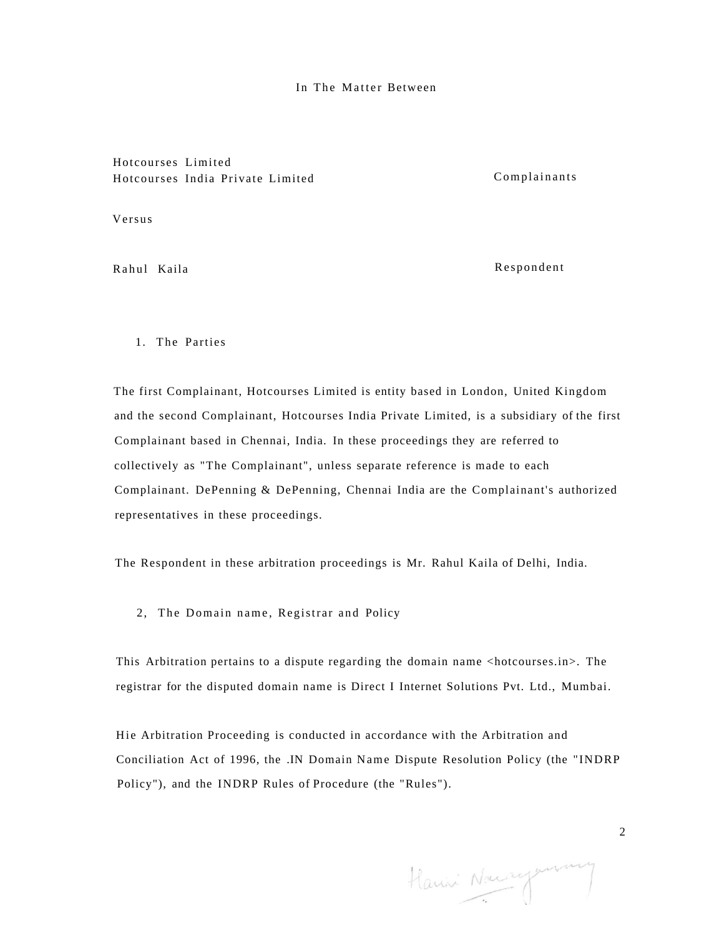#### In The Matter Between

## Hotcourses Limited Hotcourses India Private Limited Complainants

Versus

Rahul Kaila **Respondent** 

1. The Parties

The first Complainant, Hotcourses Limited is entity based in London, United Kingdom and the second Complainant, Hotcourses India Private Limited, is a subsidiary of the first Complainant based in Chennai, India. In these proceedings they are referred to collectively as "The Complainant", unless separate reference is made to each Complainant. DePenning & DePenning, Chennai India are the Complainant's authorized representatives in these proceedings.

The Respondent in these arbitration proceedings is Mr. Rahul Kaila of Delhi, India.

2, The Domain name, Registrar and Policy

This Arbitration pertains to a dispute regarding the domain name <hotcourses.in>. The registrar for the disputed domain name is Direct I Internet Solutions Pvt. Ltd., Mumbai.

Hie Arbitration Proceeding is conducted in accordance with the Arbitration and Conciliation Act of 1996, the .IN Domain Name Dispute Resolution Policy (the "INDRP Policy"), and the INDRP Rules of Procedure (the "Rules").

Harris Naccepannie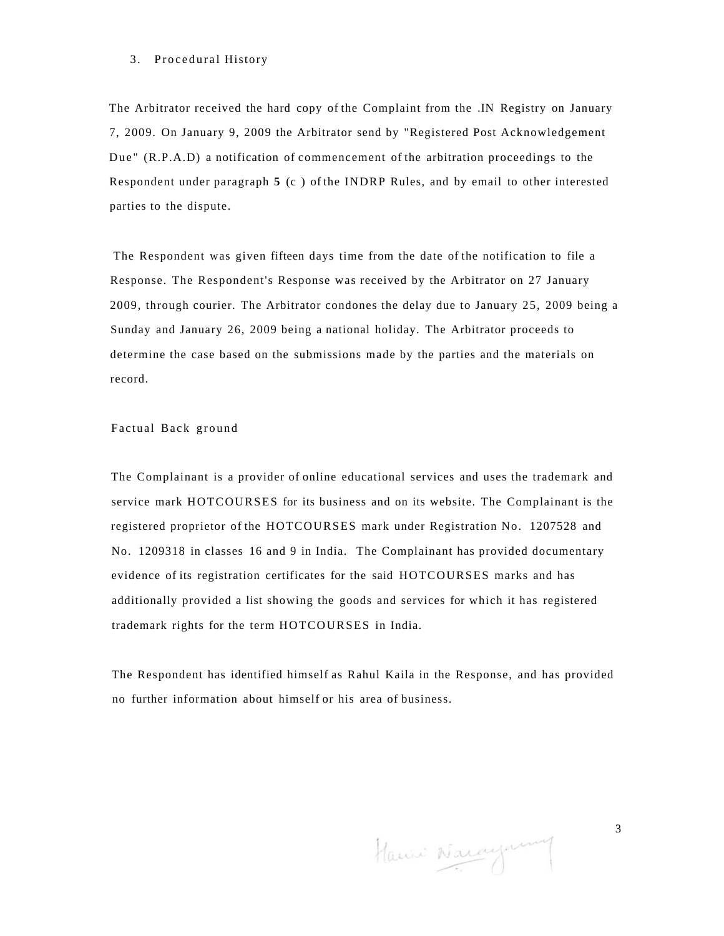#### 3. Procedural History

The Arbitrator received the hard copy of the Complaint from the .IN Registry on January 7, 2009. On January 9, 2009 the Arbitrator send by "Registered Post Acknowledgement Due " (R.P.A.D) a notification of commencement of the arbitration proceedings to the Respondent under paragraph **5** (c ) of the INDRP Rules, and by email to other interested parties to the dispute.

The Respondent was given fifteen days time from the date of the notification to file a Response. The Respondent's Response was received by the Arbitrator on 27 January 2009, through courier. The Arbitrator condones the delay due to January 25, 2009 being a Sunday and January 26, 2009 being a national holiday. The Arbitrator proceeds to determine the case based on the submissions made by the parties and the materials on record.

Factual Back ground

The Complainant is a provider of online educational services and uses the trademark and service mark HOTCOURSES for its business and on its website. The Complainant is the registered proprietor of the HOTCOURSES mark under Registration No. 1207528 and No. 1209318 in classes 16 and 9 in India. The Complainant has provided documentary evidence of its registration certificates for the said HOTCOURSES marks and has additionally provided a list showing the goods and services for which it has registered trademark rights for the term HOTCOURSES in India.

The Respondent has identified himself as Rahul Kaila in the Response, and has provided no further information about himself or his area of business.

Haun Nacaynany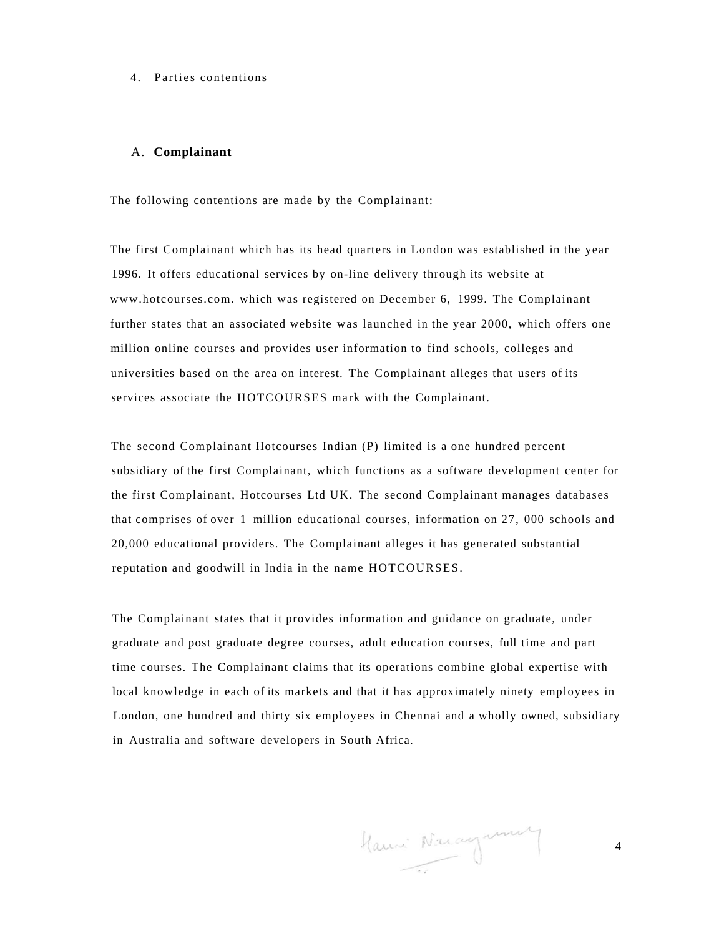#### 4. Parties contentions

#### A. **Complainant**

The following contentions are made by the Complainant:

The first Complainant which has its head quarters in London was established in the year 1996. It offers educational services by on-line delivery through its website at [www.hotcourses.com.](http://www.hotcourses.com) which was registered on December 6, 1999. The Complainant further states that an associated website was launched in the year 2000, which offers one million online courses and provides user information to find schools, colleges and universities based on the area on interest. The Complainant alleges that users of its services associate the HOTCOURSES mark with the Complainant.

The second Complainant Hotcourses Indian (P) limited is a one hundred percent subsidiary of the first Complainant, which functions as a software development center for the first Complainant, Hotcourses Ltd UK. The second Complainant manages databases that comprises of over 1 million educational courses, information on 27, 000 schools and 20,000 educational providers. The Complainant alleges it has generated substantial reputation and goodwill in India in the name HOTCOURSES.

The Complainant states that it provides information and guidance on graduate, under graduate and post graduate degree courses, adult education courses, full time and part time courses. The Complainant claims that its operations combine global expertise with local knowledge in each of its markets and that it has approximately ninety employees in London, one hundred and thirty six employees in Chennai and a wholly owned, subsidiary in Australia and software developers in South Africa.

Hauni Nacagnum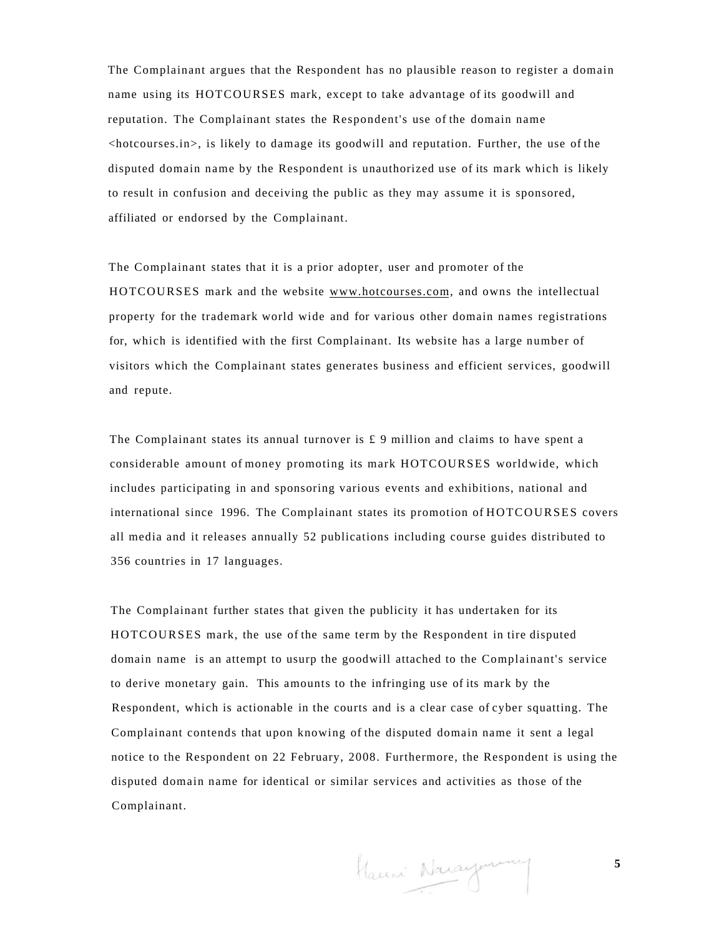The Complainant argues that the Respondent has no plausible reason to register a domain name using its HOTCOURSES mark, except to take advantage of its goodwill and reputation. The Complainant states the Respondent's use of the domain name  $\langle$ hotcourses.in $>$ , is likely to damage its goodwill and reputation. Further, the use of the disputed domain name by the Respondent is unauthorized use of its mark which is likely to result in confusion and deceiving the public as they may assume it is sponsored, affiliated or endorsed by the Complainant.

The Complainant states that it is a prior adopter, user and promoter of the HOTCOURSES mark and the website [www.hotcourses.com,](http://www.hotcourses.com) and owns the intellectual property for the trademark world wide and for various other domain names registrations for, which is identified with the first Complainant. Its website has a large number of visitors which the Complainant states generates business and efficient services, goodwill and repute.

The Complainant states its annual turnover is  $\pounds$  9 million and claims to have spent a considerable amount of money promoting its mark HOTCOURSES worldwide, which includes participating in and sponsoring various events and exhibitions, national and international since 1996. The Complainant states its promotion of HOTCOURSES covers all media and it releases annually 52 publications including course guides distributed to 356 countries in 17 languages.

The Complainant further states that given the publicity it has undertaken for its HOTCOURSES mark, the use of the same term by the Respondent in tire disputed domain name is an attempt to usurp the goodwill attached to the Complainant's service to derive monetary gain. This amounts to the infringing use of its mark by the Respondent, which is actionable in the courts and is a clear case of cyber squatting. The Complainant contends that upon knowing of the disputed domain name it sent a legal notice to the Respondent on 22 February, 2008. Furthermore, the Respondent is using the disputed domain name for identical or similar services and activities as those of the Complainant.

Hauni Nacaymany

**5**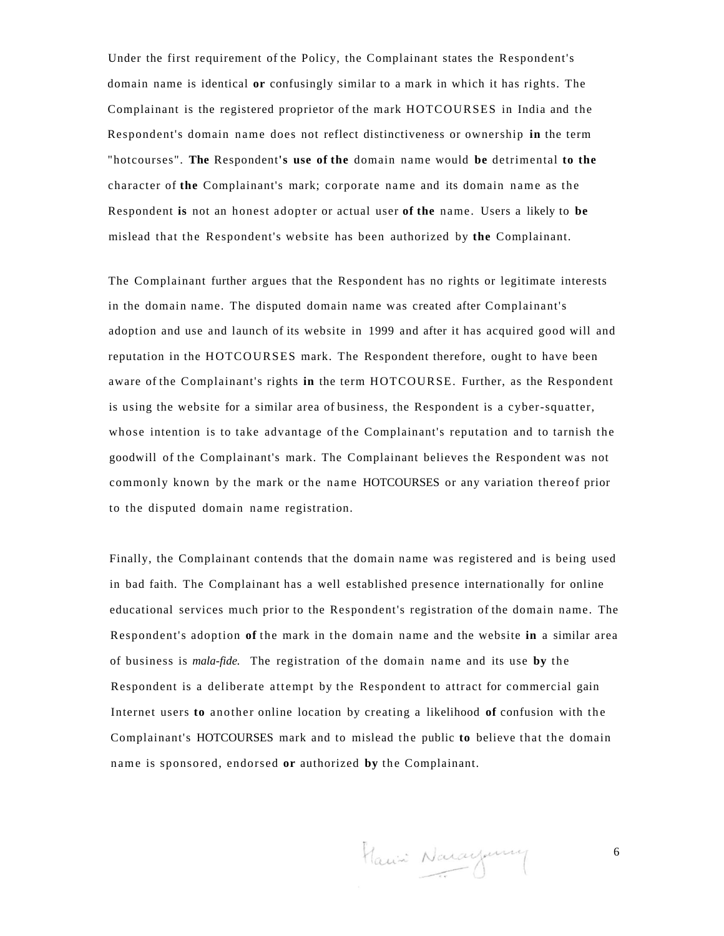Under the first requirement of the Policy, the Complainant states the Respondent's domain name is identical **or** confusingly similar to a mark in which it has rights. The Complainant is the registered proprietor of the mark HOTCOURSES in India and the Respondent's domain name does not reflect distinctiveness or ownership **in** the term "hotcourses". **The** Respondent**'s use of the** domain name would **be** detrimental **to the**  character of **the** Complainant's mark; corporate name and its domain name as the Respondent **is** not an honest adopter or actual user **of the** name. Users a likely to **be**  mislead that the Respondent's website has been authorized by **the** Complainant.

The Complainant further argues that the Respondent has no rights or legitimate interests in the domain name. The disputed domain name was created after Complainant's adoption and use and launch of its website in 1999 and after it has acquired good will and reputation in the HOTCOURSES mark. The Respondent therefore, ought to have been aware of the Complainant's rights **in** the term HOTCOURSE. Further, as the Respondent is using the website for a similar area of business, the Respondent is a cyber-squatter, whose intention is to take advantage of the Complainant's reputation and to tarnish the goodwill of the Complainant's mark. The Complainant believes the Respondent was not commonly known by the mark or the name HOTCOURSES or any variation thereof prior to the disputed domain name registration.

Finally, the Complainant contends that the domain name was registered and is being used in bad faith. The Complainant has a well established presence internationally for online educational services much prior to the Respondent's registration of the domain name. The Respondent's adoption **of** the mark in the domain name and the website **in** a similar area of business is *mala-fide.* The registration of the domain name and its use **by** the Respondent is a deliberate attempt by the Respondent to attract for commercial gain Internet users to another online location by creating a likelihood of confusion with the Complainant's HOTCOURSES mark and to mislead the public **to** believe tha t the domain name is sponsored, endorsed **or** authorized **by** the Complainant.

Hanii Narayuny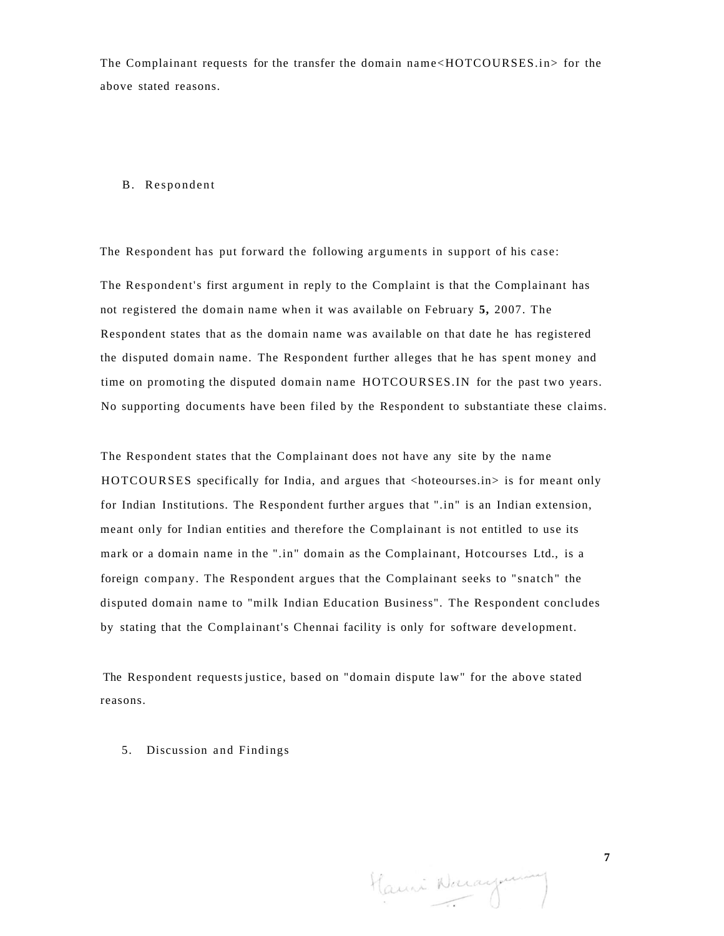The Complainant requests for the transfer the domain name<HOTCOURSES.in> for the above stated reasons.

#### B. Respondent

The Respondent has put forward the following arguments in support of his case:

The Respondent's first argument in reply to the Complaint is that the Complainant has not registered the domain name when it was available on February **5,** 2007. The Respondent states that as the domain name was available on that date he has registered the disputed domain name. The Respondent further alleges that he has spent money and time on promoting the disputed domain name HOTCOURSES.IN for the past two years. No supporting documents have been filed by the Respondent to substantiate these claims.

The Respondent states that the Complainant does not have any site by the name HOTCOURSES specifically for India, and argues that <hoteourses.in> is for meant only for Indian Institutions. The Respondent further argues that ".in" is an Indian extension, meant only for Indian entities and therefore the Complainant is not entitled to use its mark or a domain name in the ".in" domain as the Complainant, Hotcourses Ltd., is a foreign company. The Respondent argues that the Complainant seeks to "snatch" the disputed domain name to "milk Indian Education Business". The Respondent concludes by stating that the Complainant's Chennai facility is only for software development.

The Respondent requests justice, based on "domain dispute law" for the above stated reasons.

5. Discussion and Findings

Hauni Narayum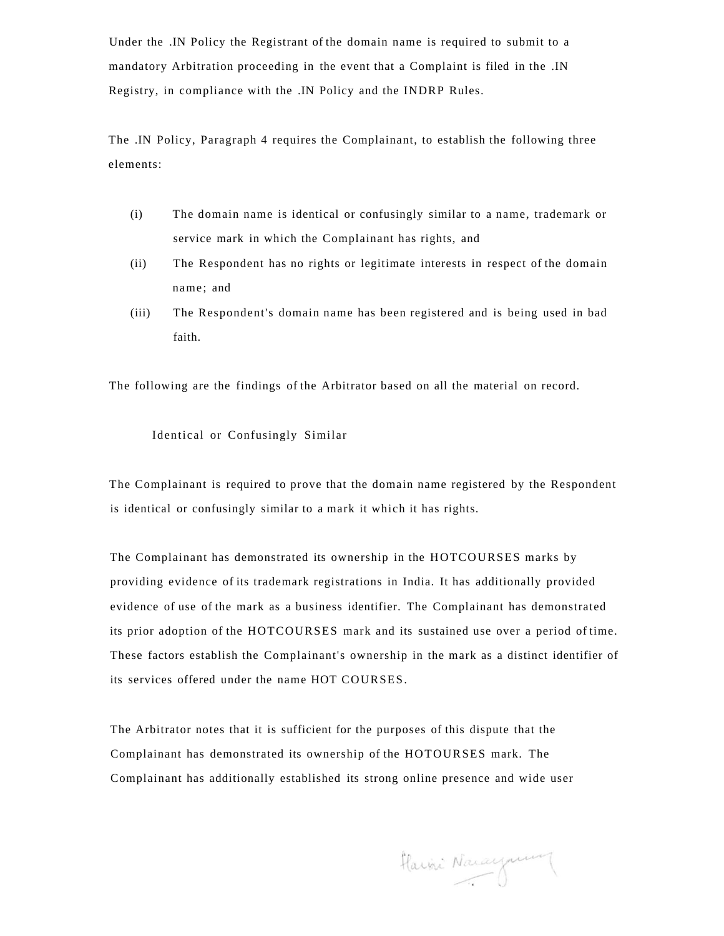Under the .IN Policy the Registrant of the domain name is required to submit to a mandatory Arbitration proceeding in the event that a Complaint is filed in the .IN Registry, in compliance with the .IN Policy and the INDRP Rules.

The .IN Policy, Paragraph 4 requires the Complainant, to establish the following three elements:

- (i) The domain name is identical or confusingly similar to a name, trademark or service mark in which the Complainant has rights, and
- (ii) The Respondent has no rights or legitimate interests in respect of the domain name; and
- (iii) The Respondent's domain name has been registered and is being used in bad faith.

The following are the findings of the Arbitrator based on all the material on record.

#### Identical or Confusingly Similar

The Complainant is required to prove that the domain name registered by the Respondent is identical or confusingly similar to a mark it which it has rights.

The Complainant has demonstrated its ownership in the HOTCOURSES marks by providing evidence of its trademark registrations in India. It has additionally provided evidence of use of the mark as a business identifier. The Complainant has demonstrated its prior adoption of the HOTCOURSES mark and its sustained use over a period of time. These factors establish the Complainant's ownership in the mark as a distinct identifier of its services offered under the name HOT COURSES.

The Arbitrator notes that it is sufficient for the purposes of this dispute that the Complainant has demonstrated its ownership of the HOTOURSES mark. The Complainant has additionally established its strong online presence and wide user

Harri Narayum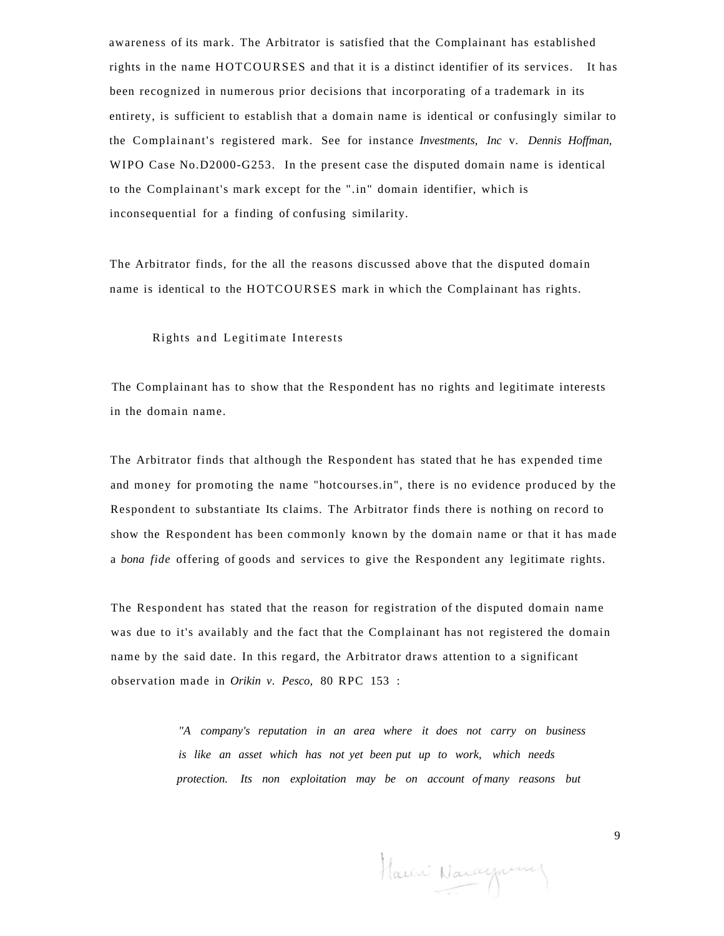awareness of its mark. The Arbitrator is satisfied that the Complainant has established rights in the name HOTCOURSES and that it is a distinct identifier of its services. It has been recognized in numerous prior decisions that incorporating of a trademark in its entirety, is sufficient to establish that a domain name is identical or confusingly similar to the Complainant's registered mark. See for instance *Investments, Inc* v. *Dennis Hoffman,*  WIPO Case No.D2000-G253. In the present case the disputed domain name is identical to the Complainant's mark except for the ".in" domain identifier, which is inconsequential for a finding of confusing similarity.

The Arbitrator finds, for the all the reasons discussed above that the disputed domain name is identical to the HOTCOURSES mark in which the Complainant has rights.

#### Rights and Legitimate Interests

The Complainant has to show that the Respondent has no rights and legitimate interests in the domain name.

The Arbitrator finds that although the Respondent has stated that he has expended time and money for promoting the name "hotcourses.in", there is no evidence produced by the Respondent to substantiate Its claims. The Arbitrator finds there is nothing on record to show the Respondent has been commonly known by the domain name or that it has made a *bona fide* offering of goods and services to give the Respondent any legitimate rights.

The Respondent has stated that the reason for registration of the disputed domain name was due to it's availably and the fact that the Complainant has not registered the domain name by the said date. In this regard, the Arbitrator draws attention to a significant observation made in *Orikin v. Pesco,* 80 RPC 153 :

> *"A company's reputation in an area where it does not carry on business is like an asset which has not yet been put up to work, which needs protection. Its non exploitation may be on account of many reasons but*

Harini Naraymeny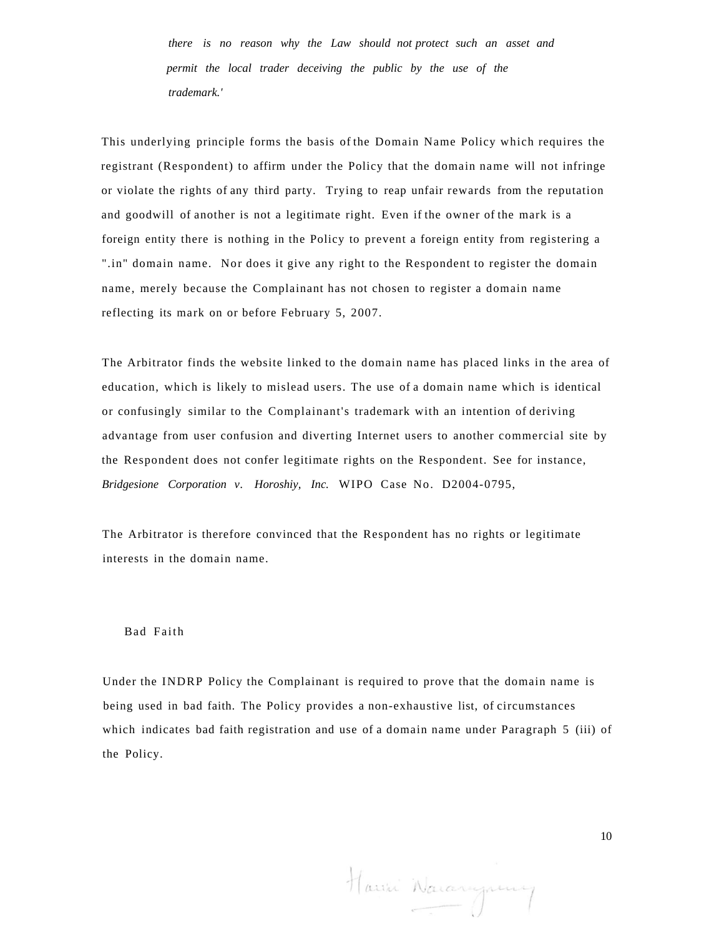*there is no reason why the Law should not protect such an asset and permit the local trader deceiving the public by the use of the trademark.'* 

This underlying principle forms the basis of the Domain Name Policy which requires the registrant (Respondent) to affirm under the Policy that the domain name will not infringe or violate the rights of any third party. Trying to reap unfair rewards from the reputation and goodwill of another is not a legitimate right. Even if the owner of the mark is a foreign entity there is nothing in the Policy to prevent a foreign entity from registering a ".in" domain name. Nor does it give any right to the Respondent to register the domain name, merely because the Complainant has not chosen to register a domain name reflecting its mark on or before February 5, 2007.

The Arbitrator finds the website linked to the domain name has placed links in the area of education, which is likely to mislead users. The use of a domain name which is identical or confusingly similar to the Complainant's trademark with an intention of deriving advantage from user confusion and diverting Internet users to another commercial site by the Respondent does not confer legitimate rights on the Respondent. See for instance, *Bridgesione Corporation v. Horoshiy, Inc.* WIPO Case No. D2004-0795,

The Arbitrator is therefore convinced that the Respondent has no rights or legitimate interests in the domain name.

#### Bad Faith

Under the INDRP Policy the Complainant is required to prove that the domain name is being used in bad faith. The Policy provides a non-exhaustive list, of circumstances which indicates bad faith registration and use of a domain name under Paragraph 5 (iii) of the Policy.

Hawi Naranguny

10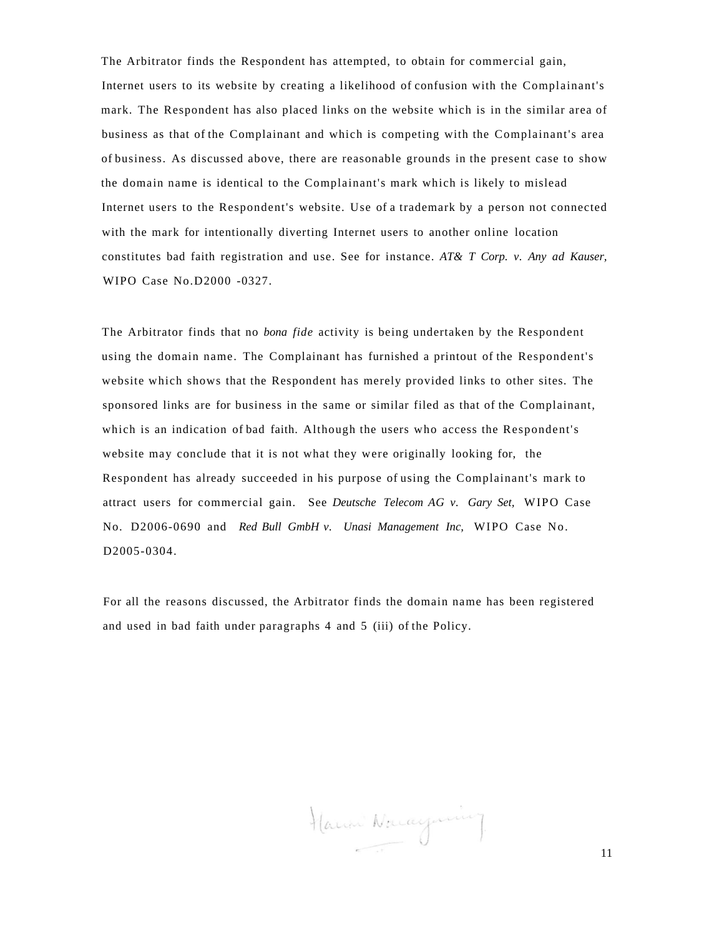The Arbitrator finds the Respondent has attempted, to obtain for commercial gain, Internet users to its website by creating a likelihood of confusion with the Complainant's mark. The Respondent has also placed links on the website which is in the similar area of business as that of the Complainant and which is competing with the Complainant's area of business. As discussed above, there are reasonable grounds in the present case to show the domain name is identical to the Complainant's mark which is likely to mislead Internet users to the Respondent's website. Use of a trademark by a person not connected with the mark for intentionally diverting Internet users to another online location constitutes bad faith registration and use. See for instance. *AT& T Corp. v. Any ad Kauser,*  WIPO Case No.D2000 -0327.

The Arbitrator finds that no *bona fide* activity is being undertaken by the Respondent using the domain name. The Complainant has furnished a printout of the Respondent's website which shows that the Respondent has merely provided links to other sites. The sponsored links are for business in the same or similar filed as that of the Complainant, which is an indication of bad faith. Although the users who access the Respondent's website may conclude that it is not what they were originally looking for, the Respondent has already succeeded in his purpose of using the Complainant's mark to attract users for commercial gain. See *Deutsche Telecom AG v. Gary Set,* WIPO Case No. D2006-0690 and *Red Bull GmbH v. Unasi Management Inc,* WIPO Case No. D<sub>2005</sub>-0304.

For all the reasons discussed, the Arbitrator finds the domain name has been registered and used in bad faith under paragraphs 4 and 5 (iii) of the Policy.

Hanni Nacaynin